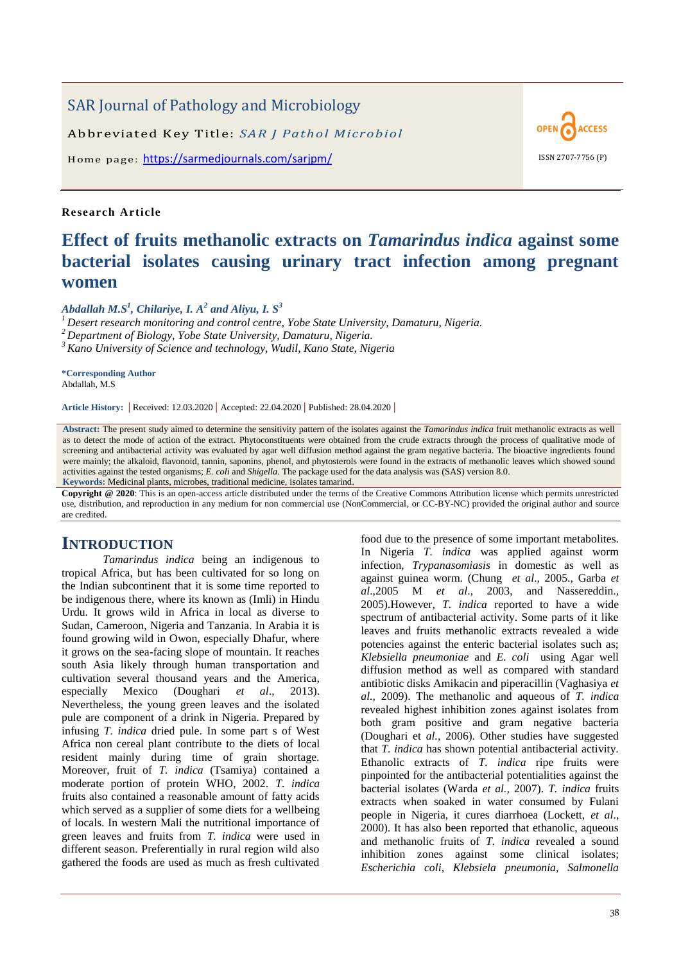# SAR Journal of Pathology and Microbiology

Abbreviated Key Title: *SAR J Pathol Microbiol*

Home page: <https://sarmedjournals.com/sarjpm/> ISSN 2707-7756 (P)

### **Re search Article**

# **Effect of fruits methanolic extracts on** *Tamarindus indica* **against some bacterial isolates causing urinary tract infection among pregnant women**

*Abdallah M.S<sup>1</sup> , Chilariye, I. A<sup>2</sup> and Aliyu, I. S<sup>3</sup>*

*<sup>1</sup> Desert research monitoring and control centre, Yobe State University, Damaturu, Nigeria.*

*<sup>2</sup> Department of Biology, Yobe State University, Damaturu, Nigeria.*

*<sup>3</sup> Kano University of Science and technology, Wudil, Kano State, Nigeria*

**\*Corresponding Author** Abdallah, M.S

**Article History: |** Received: 12.03.2020 **|** Accepted: 22.04.2020 **|** Published: 28.04.2020 **|**

**Abstract:** The present study aimed to determine the sensitivity pattern of the isolates against the *Tamarindus indica* fruit methanolic extracts as well as to detect the mode of action of the extract. Phytoconstituents were obtained from the crude extracts through the process of qualitative mode of screening and antibacterial activity was evaluated by agar well diffusion method against the gram negative bacteria. The bioactive ingredients found were mainly; the alkaloid, flavonoid, tannin, saponins, phenol, and phytosterols were found in the extracts of methanolic leaves which showed sound activities against the tested organisms; *E. coli* and *Shigella*. The package used for the data analysis was (SAS) version 8.0. **Keywords:** Medicinal plants, microbes, traditional medicine, isolates tamarind.

**Copyright @ 2020**: This is an open-access article distributed under the terms of the Creative Commons Attribution license which permits unrestricted use, distribution, and reproduction in any medium for non commercial use (NonCommercial, or CC-BY-NC) provided the original author and source are credited.

# **INTRODUCTION**

*Tamarindus indica* being an indigenous to tropical Africa, but has been cultivated for so long on the Indian subcontinent that it is some time reported to be indigenous there, where its known as (Imli) in Hindu Urdu. It grows wild in Africa in local as diverse to Sudan, Cameroon, Nigeria and Tanzania. In Arabia it is found growing wild in Owon, especially Dhafur, where it grows on the sea-facing slope of mountain. It reaches south Asia likely through human transportation and cultivation several thousand years and the America, especially Mexico (Doughari *et al*., 2013). Nevertheless, the young green leaves and the isolated pule are component of a drink in Nigeria. Prepared by infusing *T. indica* dried pule. In some part s of West Africa non cereal plant contribute to the diets of local resident mainly during time of grain shortage. Moreover, fruit of *T. indica* (Tsamiya) contained a moderate portion of protein WHO, 2002. *T. indica* fruits also contained a reasonable amount of fatty acids which served as a supplier of some diets for a wellbeing of locals. In western Mali the nutritional importance of green leaves and fruits from *T. indica* were used in different season. Preferentially in rural region wild also gathered the foods are used as much as fresh cultivated

food due to the presence of some important metabolites. In Nigeria *T. indica* was applied against worm infection, *Trypanasomiasis* in domestic as well as against guinea worm. (Chung *et al*., 2005., Garba *et al*.,2005 M *et al*., 2003, and Nassereddin., 2005).However*, T. indica* reported to have a wide spectrum of antibacterial activity. Some parts of it like leaves and fruits methanolic extracts revealed a wide potencies against the enteric bacterial isolates such as; *Klebsiella pneumoniae* and *E. coli* using Agar well diffusion method as well as compared with standard antibiotic disks Amikacin and piperacillin (Vaghasiya *et al.,* 2009). The methanolic and aqueous of *T. indica* revealed highest inhibition zones against isolates from both gram positive and gram negative bacteria (Doughari et *al.,* 2006). Other studies have suggested that *T. indica* has shown potential antibacterial activity. Ethanolic extracts of *T. indica* ripe fruits were pinpointed for the antibacterial potentialities against the bacterial isolates (Warda *et al.,* 2007). *T. indica* fruits extracts when soaked in water consumed by Fulani people in Nigeria, it cures diarrhoea (Lockett, *et al*., 2000). It has also been reported that ethanolic, aqueous and methanolic fruits of *T. indica* revealed a sound inhibition zones against some clinical isolates; *Escherichia coli, Klebsiela pneumonia, Salmonella* 

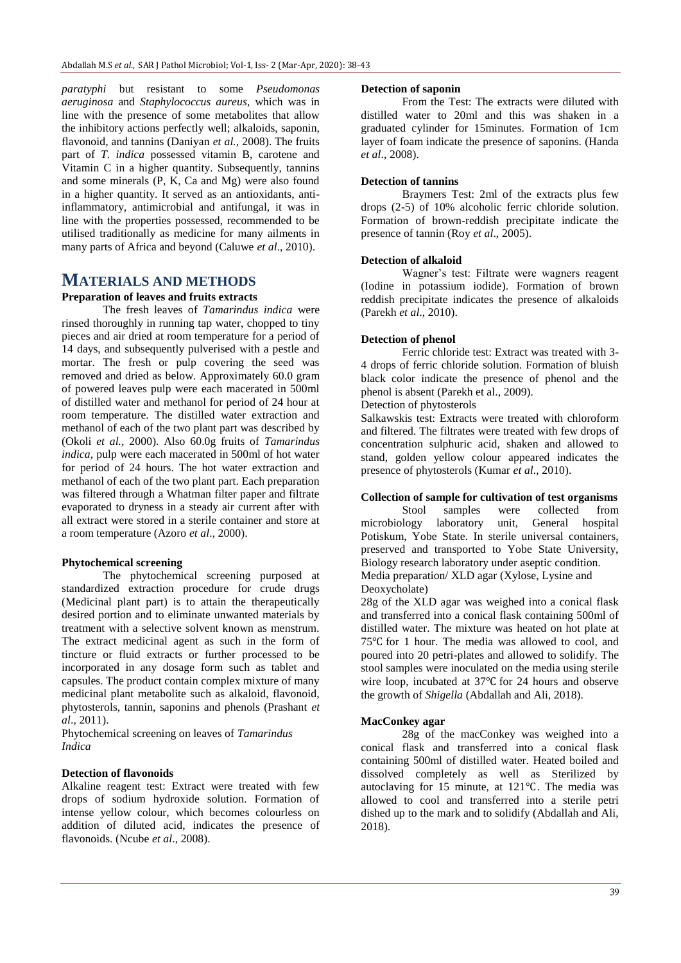*paratyphi* but resistant to some *Pseudomonas aeruginosa* and *Staphylococcus aureus*, which was in line with the presence of some metabolites that allow the inhibitory actions perfectly well; alkaloids, saponin, flavonoid, and tannins (Daniyan *et al.,* 2008). The fruits part of *T. indica* possessed vitamin B, carotene and Vitamin C in a higher quantity. Subsequently, tannins and some minerals (P, K, Ca and Mg) were also found in a higher quantity. It served as an antioxidants, antiinflammatory, antimicrobial and antifungal, it was in line with the properties possessed, recommended to be utilised traditionally as medicine for many ailments in many parts of Africa and beyond (Caluwe *et al*., 2010).

# **MATERIALS AND METHODS**

### **Preparation of leaves and fruits extracts**

The fresh leaves of *Tamarindus indica* were rinsed thoroughly in running tap water, chopped to tiny pieces and air dried at room temperature for a period of 14 days, and subsequently pulverised with a pestle and mortar. The fresh or pulp covering the seed was removed and dried as below. Approximately 60.0 gram of powered leaves pulp were each macerated in 500ml of distilled water and methanol for period of 24 hour at room temperature. The distilled water extraction and methanol of each of the two plant part was described by (Okoli *et al.,* 2000). Also 60.0g fruits of *Tamarindus indica,* pulp were each macerated in 500ml of hot water for period of 24 hours. The hot water extraction and methanol of each of the two plant part. Each preparation was filtered through a Whatman filter paper and filtrate evaporated to dryness in a steady air current after with all extract were stored in a sterile container and store at a room temperature (Azoro *et al*., 2000).

#### **Phytochemical screening**

The phytochemical screening purposed at standardized extraction procedure for crude drugs (Medicinal plant part) is to attain the therapeutically desired portion and to eliminate unwanted materials by treatment with a selective solvent known as menstrum. The extract medicinal agent as such in the form of tincture or fluid extracts or further processed to be incorporated in any dosage form such as tablet and capsules. The product contain complex mixture of many medicinal plant metabolite such as alkaloid, flavonoid, phytosterols, tannin, saponins and phenols (Prashant *et al*., 2011).

Phytochemical screening on leaves of *Tamarindus Indica*

#### **Detection of flavonoids**

Alkaline reagent test: Extract were treated with few drops of sodium hydroxide solution. Formation of intense yellow colour, which becomes colourless on addition of diluted acid, indicates the presence of flavonoids. (Ncube *et al*., 2008).

#### **Detection of saponin**

From the Test: The extracts were diluted with distilled water to 20ml and this was shaken in a graduated cylinder for 15minutes. Formation of 1cm layer of foam indicate the presence of saponins. (Handa *et al*., 2008).

#### **Detection of tannins**

Braymers Test: 2ml of the extracts plus few drops (2-5) of 10% alcoholic ferric chloride solution. Formation of brown-reddish precipitate indicate the presence of tannin (Roy *et al*., 2005).

#### **Detection of alkaloid**

Wagner's test: Filtrate were wagners reagent (Iodine in potassium iodide). Formation of brown reddish precipitate indicates the presence of alkaloids (Parekh *et al*., 2010).

#### **Detection of phenol**

Ferric chloride test: Extract was treated with 3- 4 drops of ferric chloride solution. Formation of bluish black color indicate the presence of phenol and the phenol is absent (Parekh et al., 2009).

Detection of phytosterols

Salkawskis test: Extracts were treated with chloroform and filtered. The filtrates were treated with few drops of concentration sulphuric acid, shaken and allowed to stand, golden yellow colour appeared indicates the presence of phytosterols (Kumar *et al*., 2010).

#### **Collection of sample for cultivation of test organisms**

Stool samples were collected from microbiology laboratory unit, General hospital Potiskum, Yobe State. In sterile universal containers, preserved and transported to Yobe State University, Biology research laboratory under aseptic condition. Media preparation/ XLD agar (Xylose, Lysine and Deoxycholate)

28g of the XLD agar was weighed into a conical flask and transferred into a conical flask containing 500ml of distilled water. The mixture was heated on hot plate at 75 °C for 1 hour. The media was allowed to cool, and poured into 20 petri-plates and allowed to solidify. The stool samples were inoculated on the media using sterile wire loop, incubated at  $37^{\circ}$ C for 24 hours and observe the growth of *Shigella* (Abdallah and Ali, 2018).

#### **MacConkey agar**

28g of the macConkey was weighed into a conical flask and transferred into a conical flask containing 500ml of distilled water. Heated boiled and dissolved completely as well as Sterilized by autoclaving for 15 minute, at  $121^{\circ}$ C. The media was allowed to cool and transferred into a sterile petri dished up to the mark and to solidify (Abdallah and Ali, 2018).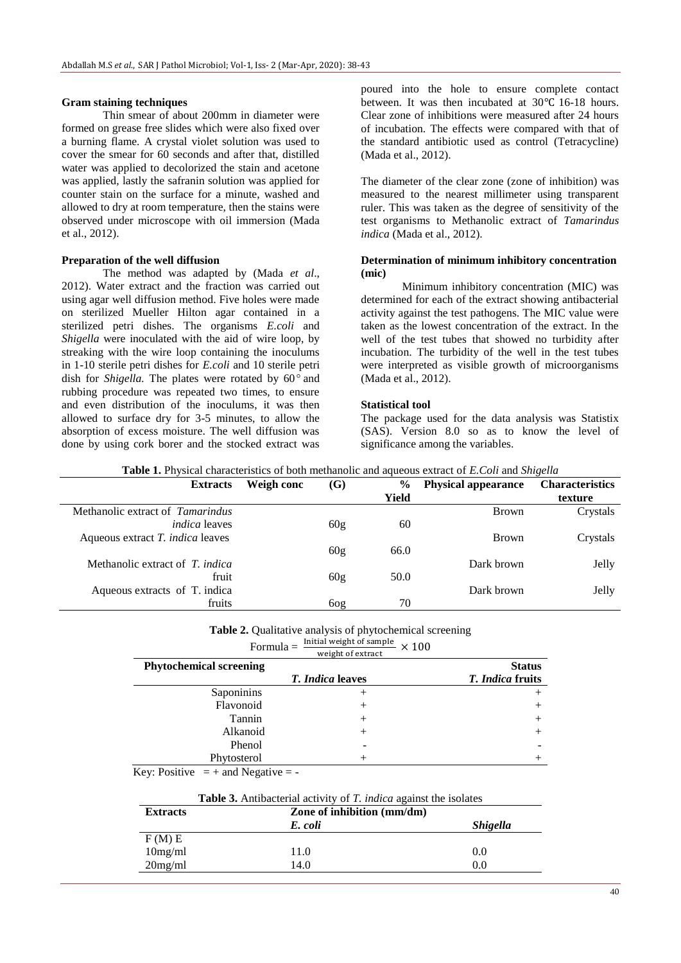#### **Gram staining techniques**

Thin smear of about 200mm in diameter were formed on grease free slides which were also fixed over a burning flame. A crystal violet solution was used to cover the smear for 60 seconds and after that, distilled water was applied to decolorized the stain and acetone was applied, lastly the safranin solution was applied for counter stain on the surface for a minute, washed and allowed to dry at room temperature, then the stains were observed under microscope with oil immersion (Mada et al., 2012).

#### **Preparation of the well diffusion**

The method was adapted by (Mada *et al*., 2012). Water extract and the fraction was carried out using agar well diffusion method. Five holes were made on sterilized Mueller Hilton agar contained in a sterilized petri dishes. The organisms *E.coli* and *Shigella* were inoculated with the aid of wire loop, by streaking with the wire loop containing the inoculums in 1-10 sterile petri dishes for *E.coli* and 10 sterile petri dish for *Shigella*. The plates were rotated by 60<sup>°</sup> and rubbing procedure was repeated two times, to ensure and even distribution of the inoculums, it was then allowed to surface dry for 3-5 minutes, to allow the absorption of excess moisture. The well diffusion was done by using cork borer and the stocked extract was

poured into the hole to ensure complete contact between. It was then incubated at  $30^{\circ}$ C 16-18 hours. Clear zone of inhibitions were measured after 24 hours of incubation. The effects were compared with that of the standard antibiotic used as control (Tetracycline) (Mada et al., 2012).

The diameter of the clear zone (zone of inhibition) was measured to the nearest millimeter using transparent ruler. This was taken as the degree of sensitivity of the test organisms to Methanolic extract of *Tamarindus indica* (Mada et al., 2012).

#### **Determination of minimum inhibitory concentration (mic)**

Minimum inhibitory concentration (MIC) was determined for each of the extract showing antibacterial activity against the test pathogens. The MIC value were taken as the lowest concentration of the extract. In the well of the test tubes that showed no turbidity after incubation. The turbidity of the well in the test tubes were interpreted as visible growth of microorganisms (Mada et al., 2012).

#### **Statistical tool**

The package used for the data analysis was Statistix (SAS). Version 8.0 so as to know the level of significance among the variables.

|  |  |  | <b>Table 1.</b> Physical characteristics of both methanolic and aqueous extract of E. Coli and Shigella |  |
|--|--|--|---------------------------------------------------------------------------------------------------------|--|
|--|--|--|---------------------------------------------------------------------------------------------------------|--|

| Weigh conc                                                                                                         | (G)             | $\frac{6}{9}$ | <b>Physical appearance</b> | <b>Characteristics</b> |
|--------------------------------------------------------------------------------------------------------------------|-----------------|---------------|----------------------------|------------------------|
|                                                                                                                    |                 | Yield         |                            | texture                |
|                                                                                                                    |                 |               | <b>Brown</b>               | Crystals               |
|                                                                                                                    | 60 <sub>g</sub> | 60            |                            |                        |
|                                                                                                                    |                 |               | <b>Brown</b>               | Crystals               |
|                                                                                                                    | 60 <sub>g</sub> | 66.0          |                            |                        |
|                                                                                                                    |                 |               | Dark brown                 | Jelly                  |
|                                                                                                                    | 60 <sub>g</sub> | 50.0          |                            |                        |
|                                                                                                                    |                 |               | Dark brown                 | Jelly                  |
|                                                                                                                    | 60g             | 70            |                            |                        |
| Methanolic extract of <i>Tamarindus</i><br>Methanolic extract of T. <i>indica</i><br>Aqueous extracts of T. indica |                 |               |                            |                        |

### **Table 2.** Qualitative analysis of phytochemical screening Formula  $=\frac{\text{initial weight of sample}}{ \text{w}_i \cdot \text{m}_i \cdot \text{m}_i \cdot \text{m}_i \cdot \text{m}_i \cdot \text{m}_i}} \times$

|                                | weight of extract       |                         |
|--------------------------------|-------------------------|-------------------------|
| <b>Phytochemical screening</b> |                         | <b>Status</b>           |
|                                | <b>T.</b> Indica leaves | <i>T. Indica</i> fruits |
| Saponinins                     | ┿                       | $^{+}$                  |
| Flavonoid                      | $^+$                    | $^{+}$                  |
| Tannin                         | $\! +$                  | $^{+}$                  |
| Alkanoid                       | $\! +$                  | $^{+}$                  |
| Phenol                         |                         |                         |
| Phytosterol                    |                         | $^+$                    |

Key: Positive  $= +$  and Negative  $= -$ 

| <b>Table 3.</b> Antibacterial activity of <i>T. indica</i> against the isolates |  |  |  |
|---------------------------------------------------------------------------------|--|--|--|
|                                                                                 |  |  |  |

| <b>Extracts</b> | Zone of inhibition (mm/dm) |                        |  |  |  |
|-----------------|----------------------------|------------------------|--|--|--|
|                 | E. coli                    | <i><b>Shigella</b></i> |  |  |  |
| F(M)E           |                            |                        |  |  |  |
| 10mg/ml         | 11.0                       | 0.0                    |  |  |  |
| $20$ mg/ml      | 14.0                       | 0.0                    |  |  |  |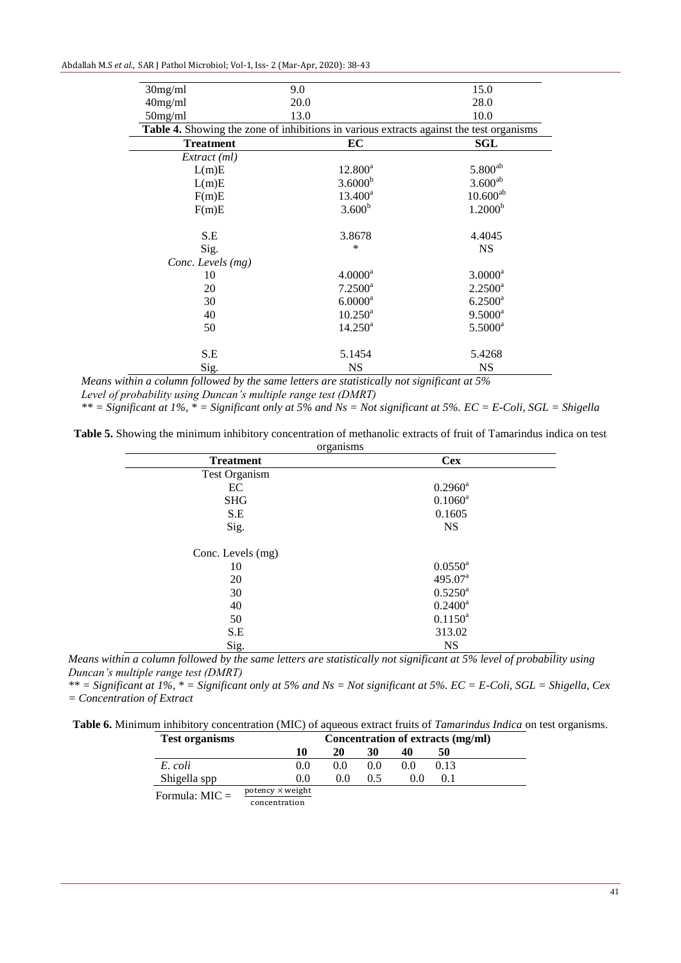| Abdallah M.S et al., SAR J Pathol Microbiol; Vol-1, Iss-2 (Mar-Apr, 2020): 38-43 |  |  |  |  |
|----------------------------------------------------------------------------------|--|--|--|--|
|----------------------------------------------------------------------------------|--|--|--|--|

| 30mg/ml           | 9.0                                                                                     | 15.0                  |
|-------------------|-----------------------------------------------------------------------------------------|-----------------------|
| $40$ mg/ml        | 20.0                                                                                    | 28.0                  |
| $50$ mg/ml        | 13.0                                                                                    | 10.0                  |
|                   | Table 4. Showing the zone of inhibitions in various extracts against the test organisms |                       |
| <b>Treatment</b>  | EC                                                                                      | <b>SGL</b>            |
| Extract (ml)      |                                                                                         |                       |
| L(m)E             | $12.800^a$                                                                              | $5.800^{\rm ab}$      |
| L(m)E             | $3.6000^{b}$                                                                            | $3.600^{ab}$          |
| F(m)E             | $13.400^a$                                                                              | $10.600^{ab}$         |
| F(m)E             | $3.600^{b}$                                                                             | 1.2000 <sup>b</sup>   |
| S.E               | 3.8678                                                                                  | 4.4045                |
| Sig.              | $\ast$                                                                                  | <b>NS</b>             |
| Conc. Levels (mg) |                                                                                         |                       |
| 10                | $4.0000^a$                                                                              | $3.0000$ <sup>a</sup> |
| 20                | $7.2500^a$                                                                              | $2.2500^a$            |
| 30                | $6.0000$ <sup>a</sup>                                                                   | $6.2500^a$            |
| 40                | $10.250^{\text{a}}$                                                                     | $9.5000^a$            |
| 50                | $14.250^a$                                                                              | $5.5000^a$            |
| S.E               | 5.1454                                                                                  | 5.4268                |
| Sig.              | <b>NS</b>                                                                               | <b>NS</b>             |

*Means within a column followed by the same letters are statistically not significant at 5% Level of probability using Duncan's multiple range test (DMRT)*

*\*\* = Significant at 1%, \* = Significant only at 5% and Ns = Not significant at 5%. EC = E-Coli, SGL = Shigella*

| Table 5. Showing the minimum inhibitory concentration of methanolic extracts of fruit of Tamarindus indica on test |  |
|--------------------------------------------------------------------------------------------------------------------|--|
| organisms                                                                                                          |  |

| organisms<br><b>Treatment</b> | <b>Cex</b>          |  |
|-------------------------------|---------------------|--|
| Test Organism                 |                     |  |
| EC                            | $0.2960^a$          |  |
| <b>SHG</b>                    | $0.1060^a$          |  |
| S.E                           | 0.1605              |  |
| Sig.                          | <b>NS</b>           |  |
| Conc. Levels (mg)             |                     |  |
| 10                            | $0.0550^{\rm a}$    |  |
| 20                            | 495.07 <sup>a</sup> |  |
| 30                            | $0.5250^{\rm a}$    |  |
| 40                            | $0.2400^a$          |  |
| 50                            | $0.1150^a$          |  |
| S.E                           | 313.02              |  |
| Sig.                          | <b>NS</b>           |  |

*Means within a column followed by the same letters are statistically not significant at 5% level of probability using Duncan's multiple range test (DMRT)*

*\*\* = Significant at 1%, \* = Significant only at 5% and Ns = Not significant at 5%. EC = E-Coli, SGL = Shigella, Cex = Concentration of Extract*

| <b>Test organisms</b> |                                                                                                                 | Concentration of extracts (mg/ml) |     |     |      |  |
|-----------------------|-----------------------------------------------------------------------------------------------------------------|-----------------------------------|-----|-----|------|--|
|                       | 10                                                                                                              | 20                                | 30  | 40  | 50   |  |
| E. coli               | 0.0                                                                                                             | 0.0                               | 0.0 | 00  | 0.13 |  |
| Shigella spp          | 0.0                                                                                                             | 0.0                               | 0.5 | 0.0 |      |  |
| Formula: $MIC =$      | $potency \times weight$                                                                                         |                                   |     |     |      |  |
|                       | the contract of the contract of the contract of the contract of the contract of the contract of the contract of |                                   |     |     |      |  |

concentration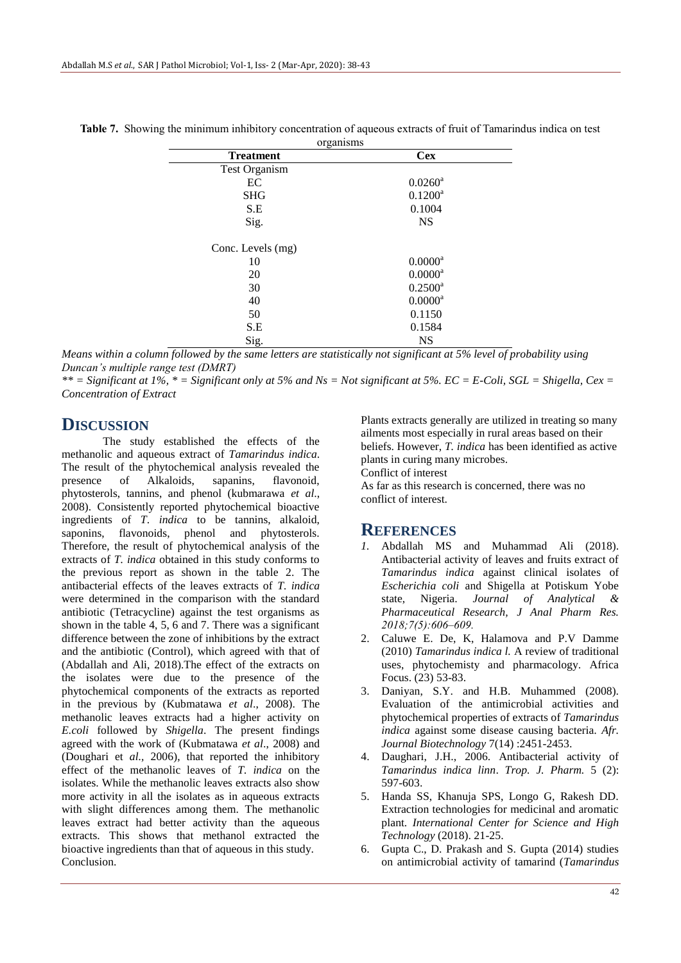| organisms            |                       |  |
|----------------------|-----------------------|--|
| <b>Treatment</b>     | <b>Cex</b>            |  |
| <b>Test Organism</b> |                       |  |
| EC                   | $0.0260$ <sup>a</sup> |  |
| <b>SHG</b>           | $0.1200^a$            |  |
| S.E                  | 0.1004                |  |
| Sig.                 | <b>NS</b>             |  |
| Conc. Levels (mg)    |                       |  |
| 10                   | $0.0000$ <sup>a</sup> |  |
| 20                   | $0.0000^a$            |  |
| 30                   | $0.2500^{\text{a}}$   |  |
| 40                   | $0.0000$ <sup>a</sup> |  |
| 50                   | 0.1150                |  |
| S.E                  | 0.1584                |  |
| Sig.                 | <b>NS</b>             |  |

**Table 7.** Showing the minimum inhibitory concentration of aqueous extracts of fruit of Tamarindus indica on test

*Means within a column followed by the same letters are statistically not significant at 5% level of probability using Duncan's multiple range test (DMRT)*

*\*\* = Significant at 1%, \* = Significant only at 5% and Ns = Not significant at 5%. EC = E-Coli, SGL = Shigella, Cex = Concentration of Extract*

## **DISCUSSION**

The study established the effects of the methanolic and aqueous extract of *Tamarindus indica*. The result of the phytochemical analysis revealed the presence of Alkaloids, sapanins, flavonoid, phytosterols, tannins, and phenol (kubmarawa *et al*., 2008). Consistently reported phytochemical bioactive ingredients of *T*. *indica* to be tannins, alkaloid, saponins, flavonoids, phenol and phytosterols. Therefore, the result of phytochemical analysis of the extracts of *T. indica* obtained in this study conforms to the previous report as shown in the table 2. The antibacterial effects of the leaves extracts of *T. indica*  were determined in the comparison with the standard antibiotic (Tetracycline) against the test organisms as shown in the table 4, 5, 6 and 7. There was a significant difference between the zone of inhibitions by the extract and the antibiotic (Control), which agreed with that of (Abdallah and Ali, 2018).The effect of the extracts on the isolates were due to the presence of the phytochemical components of the extracts as reported in the previous by (Kubmatawa *et al*., 2008). The methanolic leaves extracts had a higher activity on *E.coli* followed by *Shigella*. The present findings agreed with the work of (Kubmatawa *et al*., 2008) and (Doughari et *al.,* 2006), that reported the inhibitory effect of the methanolic leaves of *T. indica* on the isolates. While the methanolic leaves extracts also show more activity in all the isolates as in aqueous extracts with slight differences among them. The methanolic leaves extract had better activity than the aqueous extracts. This shows that methanol extracted the bioactive ingredients than that of aqueous in this study. Conclusion.

Plants extracts generally are utilized in treating so many ailments most especially in rural areas based on their beliefs. However, *T. indica* has been identified as active plants in curing many microbes. Conflict of interest

As far as this research is concerned, there was no conflict of interest.

### **REFERENCES**

- *1.* Abdallah MS and Muhammad Ali (2018). Antibacterial activity of leaves and fruits extract of *Tamarindus indica* against clinical isolates of *Escherichia coli* and Shigella at Potiskum Yobe state, Nigeria. *Journal of Analytical & Pharmaceutical Research, J Anal Pharm Res. 2018;7(5):606‒609.*
- 2. Caluwe E. De, K, Halamova and P.V Damme (2010) *Tamarindus indica l.* A review of traditional uses, phytochemisty and pharmacology. Africa Focus. (23) 53-83.
- 3. Daniyan, S.Y. and H.B. Muhammed (2008). Evaluation of the antimicrobial activities and phytochemical properties of extracts of *Tamarindus indica* against some disease causing bacteria. *Afr. Journal Biotechnology* 7(14) :2451-2453.
- 4. Daughari, J.H., 2006. Antibacterial activity of *Tamarindus indica linn*. *Trop. J. Pharm.* 5 (2): 597-603.
- 5. Handa SS, Khanuja SPS, Longo G, Rakesh DD. Extraction technologies for medicinal and aromatic plant. *International Center for Science and High Technology* (2018). 21-25.
- 6. Gupta C., D. Prakash and S. Gupta (2014) studies on antimicrobial activity of tamarind (*Tamarindus*